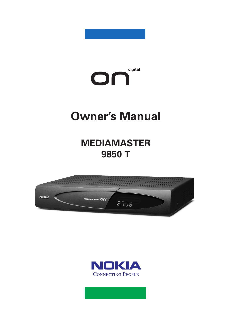



# **Owner's Manual**

**MEDIAMASTER 9850 T**



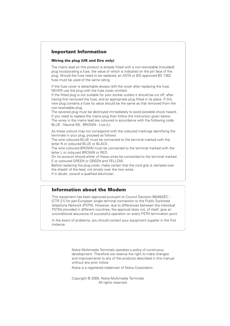### **Important Information**

### **Wiring the plug (UK and Eire only)**

The mains lead on this product is already fitted with a non-rewireable (moulded) plug incorporating a fuse, the value of which is indicated on the pin face of the plug. Should the fuse need to be replaced, an ASTA or BSI approved BS 1362 fuse must be used of the same rating.

If the fuse cover is detachable always refit the cover after replacing the fuse. NEVER use the plug with the fuse cover omitted.

If the fitted plug is not suitable for your socket outlets it should be cut off, after having first removed the fuse, and an appropriate plug fitted in its place. If this new plug contains a fuse its value should be the same as that removed from the non-rewireable plug.

The severed plug must be destroyed immediately to avoid possible shock hazard. If you need to replace the mains plug then follow the instruction given below: The wires in the mains lead are coloured in accordance with the following code: BLUE - Neutral (N); BROWN - Live (L).

As these colours may not correspond with the coloured markings identifying the terminals in your plug, proceed as follows:

The wire coloured BLUE must be connected to the terminal marked with the letter N or coloured BLUE or BLACK.

The wire coloured BROWN must be connected to the terminal marked with the letter L or coloured BROWN or RED.

On no account should either of these wires be connected to the terminal marked E or coloured GREEN or GREEN and YELLOW.

Before replacing the plug cover, make certain that the cord grip is clamped over the sheath of the lead; not simply over the two wires. If in doubt, consult a qualified electrician.

### **Information about the Modem**

This equipment has been approved pursuant to Council Decision 98/482/EC - [CTR 21] for pan-European single terminal connection to the Public Switched telephone Network (PSTN). However, due to differences between the individual PSTNs provided in different countries, the approval does not, of itself, give an unconditional assurance of successful operation on every PSTN termination point.

In the event of problems, you should contact your equipment supplier in the first instance.

> Nokia Multimedia Terminals operates a policy of continuous development. Therefore we reserve the right to make changes and improvements to any of the products described in this manual without any prior notice.

Nokia is a registered trademark of Nokia Corporation.

Copyright © 2000. Nokia Multimedia Terminals. All rights reserved.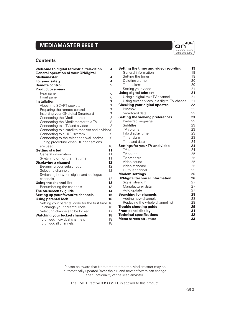# **MEDIAMASTER 9850 T**



### **Contents**

| Welcome to digital terrestrial television<br><b>General operation of your ONdigital</b> | 4              |
|-----------------------------------------------------------------------------------------|----------------|
| <b>Mediamaster</b>                                                                      | 4              |
| For your safety                                                                         | 4              |
| <b>Remote control</b>                                                                   | 5              |
| <b>Product overview</b>                                                                 |                |
| Rear panel                                                                              | 6              |
| Front panel                                                                             | 6              |
| <b>Installation</b>                                                                     | 7              |
| About the SCART sockets                                                                 | 7              |
| Preparing the remote control                                                            | $\overline{7}$ |
| Inserting your ONdigital Smartcard                                                      | $\overline{7}$ |
| Connecting the Mediamaster                                                              | 8              |
| Connecting the Mediamaster to a TV                                                      | 8              |
| Connecting to a TV and a video                                                          | 8              |
| Connecting to a satellite receiver and a video 9                                        |                |
| Connecting to a Hi Fi system                                                            | 9              |
| Connecting to the telephone wall socket                                                 | 9              |
| Tuning procedure when RF connections                                                    |                |
| are used                                                                                | 10             |
| <b>Getting started</b>                                                                  | 11             |
| General information                                                                     | 11             |
| Switching on for the first time                                                         | 11             |
|                                                                                         | 12             |
| Displaying a channel                                                                    | 12             |
| Beginning your subscription                                                             | 12             |
| Selecting channels                                                                      |                |
| Switching between digital and analogue<br>channels                                      | 12             |
|                                                                                         | 13             |
| Using the channel list                                                                  | 13             |
| Renumbering the channels                                                                | 14             |
| The on-screen tv guide                                                                  | 15             |
| Setting up your favourite channels                                                      |                |
| Using parental lock                                                                     | 16<br>16       |
| Setting your parental code for the first time                                           |                |
| To change your parental code                                                            | 16             |
| Selecting channels to be locked                                                         | 17             |
| <b>Watching your locked channels</b>                                                    | 18             |
| To unlock individual channels                                                           | 18             |
| To unlock all channels                                                                  | 18             |

| Setting the timer and video recording       | 19 |
|---------------------------------------------|----|
| General information                         | 19 |
| Setting the timer                           | 19 |
| Deleting a timer                            | 20 |
| Timer alarm                                 | 20 |
| Setting your video                          | 21 |
| <b>Using digital teletext</b>               | 21 |
| Using a digital text TV channel             | 21 |
| Using text services in a digital TV channel | 21 |
| <b>Checking your digital updates</b>        | 22 |
| Postbox                                     | 22 |
| Smartcard data                              | 22 |
| <b>Setting the viewing preferences</b>      | 23 |
| Preferred language                          | 23 |
| Subtitles                                   | 23 |
| TV volume                                   | 23 |
| Info display time                           | 23 |
| Timer alarm                                 | 23 |
| Time and date                               | 24 |
| <b>Settings for your TV and video</b>       | 24 |
| TV screen                                   | 24 |
| TV sound                                    | 25 |
| TV standard                                 | 25 |
| Video sound                                 | 25 |
| Video standard                              | 25 |
| Output channel                              | 25 |
| <b>Modem settings</b>                       | 26 |
| <b>ONdigital technical information</b>      | 26 |
| Signal strength                             | 27 |
| Manufacturer data                           | 27 |
| Auto update                                 | 27 |
| <b>Searching for channels</b>               | 28 |
| Adding new channels                         | 28 |
| Replacing the whole channel list            | 28 |
| <b>Trouble shooting guide</b>               | 29 |
| <b>Front panel display</b>                  | 31 |
| <b>Technical specifications</b>             | 32 |
| Menu screen structure                       | 33 |
|                                             |    |

Please be aware that from time to time the Mediamaster may be automatically updated 'over the air' and new software can change the functionality of the Mediamaster.

The EMC Directive 89/336/EEC is applied to this product.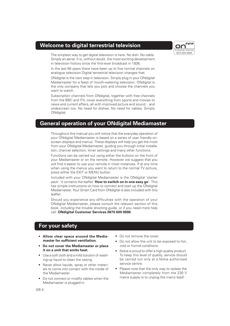### **Welcome to digital terrestrial television**

The simplest way to get digital television is here. No dish. No cable. Simply an aerial. It is, without doubt, the most exciting development in television history since the first-ever broadcast in 1936.

In the last 60 years there have been up to five normal channels on analogue television.Digital terrestrial television changes that.

ONdigital is the next step in television. Simply plug in your ONdigital Mediamaster for a feast of mouth-watering television. ONdigital is the only company that lets you pick and choose the channels you want to watch.

Subscription channels from ONdigital, together with free channels from the BBC and ITV, cover everything from sports and movies to news and current affairs, all with improved picture and sound... and widescreen too. No need for dishes. No need for cables. Simply ONdigital.

### **General operation of your ONdigital Mediamaster**

Throughout this manual you will notice that the everyday operation of your ONdigital Mediamaster is based on a series of user friendly onscreen displays and menus. These displays will help you get the most from your ONdigital Mediamaster, guiding you through initial installation, channel selection, timer settings and many other functions.

Functions can be carried out using either the buttons on the front of your Mediamaster or on the remote. However we suggest that you will find it easier to use your remote in most instances. If at any time when using the menus you want to return to the normal TV picture, press either the EXIT or MENU button.

Included with your ONdigital Mediamaster is the ONdigital 'starter pack'. It contains the leaflet '**How to switch on in one easy go**'. This has simple instructions on how to connect and start up the ONdigital Mediamaster. Your Smart Card from ONdigital is also included with this leaflet.

Should you experience any difficulties with the operation of your ONdigital Mediamaster, please consult the relevant section of this book, including the trouble shooting guide, or if you need more help call: **ONdigital Customer Services 0870 600 9696**.

### **For your safety**

- **Allow clear space around the Mediamaster for sufficient ventilation.**
- **Do not cover the Mediamaster or place it on a unit that emits heat.**
- Use a soft cloth and a mild solution of washing-up liquid to clean the casing.
- Never allow liquids, spray or other materials to come into contact with the inside of the Mediamaster.
- Do not connect or modify cables when the Mediamaster is plugged in.
- Do not remove the cover.
- Do not allow the unit to be exposed to hot, cold or humid conditions.
- Nokia is proud to offer a high quality product. To keep this level of quality, service should be carried out only at a Nokia authorised service centre.
- Please note that the only way to isolate the Mediamaster completely from the 230 V mains supply is to unplug the mains lead!

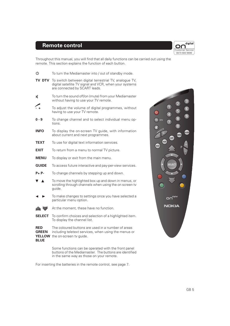## **Remote control**

digital Or Customer Service 0870 600 9696

Throughout this manual, you will find that all daily functions can be carried out using the remote. This section explains the function of each button.

| ტ                                                          | To turn the Mediamaster into / out of standby mode.                                                                                               |
|------------------------------------------------------------|---------------------------------------------------------------------------------------------------------------------------------------------------|
| <b>TV DTV</b>                                              | To switch between digital terrestrial TV, analogue TV,<br>digital satellite TV signal and VCR, when your systems<br>are connected by SCART leads. |
| 鳳                                                          | To turn the sound off/on (mute) from your Mediamaster<br>without having to use your TV remote.                                                    |
| $\mathcal{L}_{\text{+}}$                                   | To adjust the volume of digital programmes, without<br>having to use your TV remote.                                                              |
| 0 - 9                                                      | To change channel and to select individual menu op-<br>tions.                                                                                     |
| <b>INFO</b>                                                | To display the on-screen TV guide, with information<br>about current and next programmes.                                                         |
| TEXT                                                       | To use for digital text information services.                                                                                                     |
| <b>EXIT</b>                                                | To return from a menu to normal TV picture.                                                                                                       |
| <b>MENU</b>                                                | To display or exit from the main menu.                                                                                                            |
| <b>GUIDE</b>                                               | To access future interactive and pay-per-view services.                                                                                           |
| <b>P</b> +P-                                               | To change channels by stepping up and down.                                                                                                       |
|                                                            | To move the highlighted box up and down in menus, or<br>scrolling through channels when using the on screen tv<br>quide.                          |
|                                                            | To make changes to settings once you have selected a<br>particular menu option.                                                                   |
|                                                            | At the moment, these have no function.                                                                                                            |
| <b>SELECT</b>                                              | To confirm choices and selection of a highlighted item.<br>To display the channel list.                                                           |
| <b>RED</b><br><b>GREEN</b><br><b>YELLOW</b><br><b>BLUE</b> | The coloured buttons are used in a number of areas<br>including teletext services, when using the menus or<br>the on-screen tv guide.             |

Some functions can be operated with the front panel buttons of the Mediamaster. The buttons are identified in the same way as those on your remote.

For inserting the batteries in the remote control, see page 7.

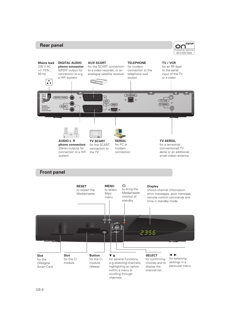### **Rear panel**





### **Front panel**

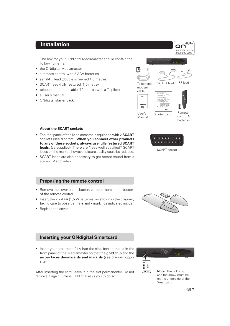### **Installation**

The box for your ONdigital Mediamaster should contain the following items:

- the ONdigital Mediamaster
- a remote control with 2 AAA batteries
- aerial/RF lead (double screened 1,5 metres)
- SCART lead (fully featured 1,0 metre)
- telephone modem cable (10 metres with a T-splitter)
- a user's manual
- ONdigital starter pack



Manual



Customer Service 0870 600 9696

O٢

digital

control & batteries

### **About the SCART sockets**

- The rear panel of the Mediamaster is equipped with 2 **SCART** sockets (see diagram). **When you connect other products to any of these sockets, always use fully featured SCART leads.** (as supplied). There are "less well specified" SCART leads on the market, however picture quality could be reduced.
- SCART leads are also necessary to get stereo sound from a stereo TV and video.

### **Preparing the remote control**

- Remove the cover on the battery compartment at the bottom of the remote control.
- Insert the 2 x AAA (1,5 V) batteries, as shown in the diagram, taking care to observe the **+** and **-** markings indicated inside.
- Replace the cover.



SCART socket

\*\*\*\*\*\*\*\* \*\*\*\*\*\*\*

### **Inserting your ONdigital Smartcard**

• Insert your smartcard fully into the slot, behind the lid in the front panel of the Mediamaster so that the **gold chip** and the **arrow faces downwards and inwards** (see diagram opposite).

After inserting the card, leave it in the slot permanently. Do not remove it again, unless ONdigital asks you to do so.



**Note!** The gold chip and the arrow must be on the underside of the Smartcard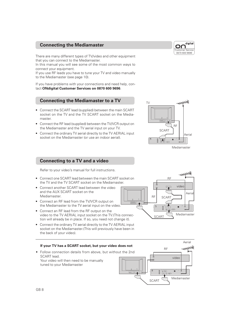### **Connecting the Mediamaster**

There are many different types of TV/video and other equipment that you can connect to the Mediamaster.

In this manual you will see some of the most common ways to connect your equipment.

If you use RF leads you have to tune your TV and video manually to the Mediamaster (see page 10).

If you have problems with your connections and need help, contact **ONdigital Customer Services on 0870 600 9696**.

### **Connecting the Mediamaster to a TV**

- Connect the SCART lead (supplied) between the main SCART socket on the TV and the TV SCART socket on the Mediamaster.
- Connect the RF lead (supplied) between the TV/VCR output on the Mediamaster and the TV aerial input on your TV.
- Connect the ordinary TV aerial directly to the TV AERIAL input socket on the Mediamaster (or use an indoor aerial).

# TV 2 1RF SCART Aerial a p

RF

军

SCART

### Mediamaster

video

Aerial

Mediamaster

### **Connecting to a TV and a video**

Refer to your video's manual for full instructions.

- Connect one SCART lead between the main SCART socket on the TV and the TV SCART socket on the Mediamaster.
- Connect another SCART lead between the video and the AUX SCART socket on the Mediamaster.
- Connect an RF lead from the TV/VCR output on the Mediamaster to the TV aerial input on the video.
- Connect an RF lead from the RF output on the video to the TV AERIAL input socket on the TV.(This connection will already be in place. If so, you need not change it).
- Connect the ordinary TV aerial directly to the TV AERIAL input socket on the Mediamaster.(This will previously have been in the back of your video).



2 1

 $\equiv$   $\equiv$   $\equiv$   $\equiv$ 

RF

SCART

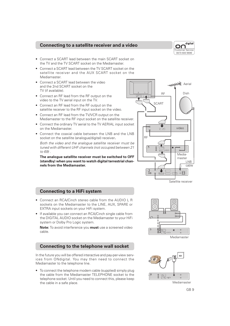### **Connecting to a satellite receiver and a video**



- Connect a SCART lead between the main SCART socket on the TV and the TV SCART socket on the Mediamaster.
- Connect a SCART lead between the TV SCART socket on the satellite receiver and the AUX SCART socket on the Mediamaster.
- Connect a SCART lead between the video and the 2nd SCART socket on the TV (if available).
- Connect an RF lead from the RF output on the video to the TV aerial input on the TV.
- Connect an RF lead from the RF output on the satellite receiver to the RF input socket on the video.
- Connect an RF lead from the TV/VCR output on the Mediamaster to the RF input socket on the satellite receiver.
- Connect the ordinary TV aerial to the TV AERIAL input socket on the Mediamaster.
- Connect the coaxial cable between the LNB and the LNB socket on the satellite (analogue/digital) receiver**.**

Both the video and the analogue satellite receiver must be tuned with different UHF channels (not occupied between 21 to 69) .

**The analogue satellite receiver must be switched to OFF (standby) when you want to watch digital terrestrial channels from the Mediamaster.**



Satellite receiver

### **Connecting to a HiFi system**

- Connect an RCA/Cinch stereo cable from the AUDIO L R sockets on the Mediamaster to the LINE, AUX, SPARE or EXTRA input sockets on your HiFi system.
- If available you can connect an RCA/Cinch single cable from the DIGITAL AUDIO socket on the Mediamaster to your HiFi system or Dolby Pro Logic system.

**Note:** To avoid interference you **must** use a screened video cable.

### **Connecting to the telephone wall socket**

In the future you will be offered interactive and pay-per-view services from ONdigital. You may then need to connect the Mediamaster to the telephone line.

• To connect the telephone modem cable (supplied) simply plug the cable from the Mediamaster TELEPHONE socket to the telephone socket. Until you need to connect this, please keep the cable in a safe place.



Mediamaster



GB 9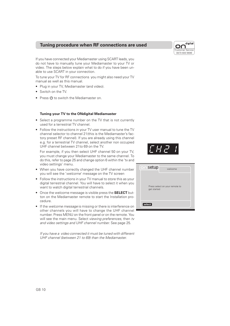### **Tuning procedure when RF connections are used**

If you have connected your Mediamaster using SCART leads, you do not have to manually tune your Mediamaster to your TV or video. The steps below explain what to do if you have been unable to use SCART in your connection.

To tune your TV for RF connections you might also need your TV manual as well as this manual.

- Plug in your TV, Mediamaster (and video).
- Switch on the TV.
- Press  $\Phi$  to switch the Mediamaster on.

### **Tuning your TV to the ONdigital Mediamaster**

- Select a programme number on the TV that is not currently used for a terrestrial TV channel.
- Follow the instructions in your TV user manual to tune the TV channel selector to channel 21(this is the Mediamaster's factory preset RF channel). If you are already using this channel e.g. for a terrestrial TV channel, select another non occupied UHF channel between 21to 69 on the TV.

For example, if you then select UHF channel 50 on your TV, you must change your Mediamaster to the same channel. To do this, refer to page 25 and change option 6 within the 'tv and video settings' menu.

- When you have correctly changed the UHF channel number you will see the 'welcome' message on the TV screen
- Follow the instructions in your TV manual to store this as your digital terrestrial channel. You will have to select it when you want to watch digital terrestrial channels.
- Once the welcome message is visible press the **SELECT** button on the Mediamaster remote to start the Installation procedure.
- If the welcome message is missing or there is interference on other channels you will have to change the UHF channel number. Press MENU on the front panel or on the remote. You will see the main menu. Select viewing preferences, then tv and video settings and UHF channel number. See page 25.

If you have a video connected it must be tuned with different UHF channel (between 21 to 69) than the Mediamaster.





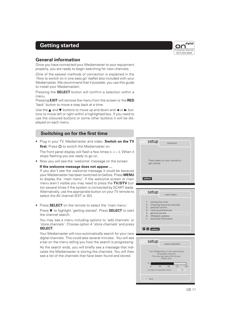### **Getting started**

### **General information**

Once you have connected your Mediamaster to your equipment properly, you are ready to begin searching for new channels.

(One of the easiest methods of connection is explained in the 'How to switch on in one easy go' leaflet also included with your Mediamaster. We recommend that if possible, you use this guide to install your Mediamaster).

Pressing the **SELECT** button will confirm a selection within a menu.

Pressing **EXIT** will remove the menu from the screen or the **RED** 'back' button to move a step back at a time.

Use the  $\triangle$  and  $\nabla$  buttons to move up and down and  $\blacktriangleleft$  or  $\blacktriangleright$  buttons to move left or right within a highlighted box. If you need to use the coloured buttons or some other buttons it will be displayed on each menu.

### **Switching on for the first time**

• Plug in your TV, Mediamaster and video. **Switch on the TV** first. Press  $\Phi$  to switch the Mediamaster on.

The front panel display will flash a few times (**- -: - -**). When it stops flashing you are ready to go on.

• Now you will see the 'welcome' message on the screen.

### **If the welcome message does not appear ...**

If you don't see the welcome message it could be because your Mediamaster has been switched on before. Press **MENU** to display the 'main menu'. If the welcome screen or main menu aren't visible you may need to press the **TV/DTV** button several times if the system is connected by SCART leads. Alternatively, use the appropriate button on your TV remote to select the AV channel (EXT or AV).

• Press **SELECT** on the remote to select the 'main menu'.

Press ▼ to highlight 'getting started'. Press **SELECT** to start the channel search.

You may see a menu including options to 'add channels' or 'store channels'. Choose option 4 'store channels' and press **SELECT**.

Your Mediamaster will now automatically search for your new digital channels. This could take several minutes. You will see a bar on the menu telling you how the search is progressing.

As the search ends, you will briefly see a message that indicates the Mediamaster is storing the channels. You will then see a list of the channels that have been found and stored.





0 25 50 75 100

number of channels found 13

 $\Box$  back

%



GB 11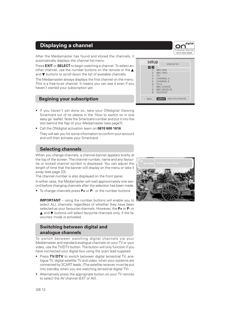After the Mediamaster has found and stored the channels, it automatically displays the *channel list* menu.

Press **EXIT** or **SELECT** to begin watching a channel. To select another channel, use the number buttons on the remote or the ▲ and ▼ buttons to scroll down the list of available channels.

The Mediamaster always displays the first channel on the menu. This is a free-to-air channel. It means you can see it even if you haven't started your subscription yet.

### **Begining your subscription**

- If you haven't yet done so, take your ONdigital Viewing Smartcard out of its sleeve in the 'How to switch on in one easy go' leaflet. Note the Smartcard number and put it into the slot behind the flap of your Mediamaster (see page7).
- Call the ONdigital activation team on **0870 600 1616**. They will ask you for some information to confirm your account and will then activate your Smartcard.

### **Selecting channels**

When you change channels, a channel-banner appears briefly at the top of the screen. The channel number, name and any favourite or locked channel symbol is displayed. You can adjust the length of time that the banner will display on the menu or take it away (see page 23).

The channel number is also displayed on the front panel. In either case, the Mediamaster will wait approximately one second before changing channels after the selection has been made.

• To change channels press **P+** or **P-** or the number buttons

**IMPORTANT** – using the number buttons will enable you to select ALL channels, regardless of whether they have been selected as your favourite channels. However, the **P+** or **P-** or ▲ and ▼ buttons will select favourite channels only, if the favourites mode is activated.

### **Switching between digital and analogue channels**

To switch between watching digital channels via your Mediamaster and standard analogue channels on your TV or your video, use the TV/DTV button. The button will only function if you have connected your digital box using the scart lead supplied.

- Press TV/DTV to switch between digital terrestrial TV, analogue TV, digital satellite TV and video, when your systems are connected by SCART leads. (The satellite receiver must be put into standby when you are watching terrestrial digital TV).
- Alternatively press the appropriate button on your TV remote to select the AV channel (EXT or AV).





digital

back **select** view this channel

 $6$  ITV 2 7 BBC CHOICE<br>8 BBC NEWS 2 **BBC NEWS 24** TEL ETEXT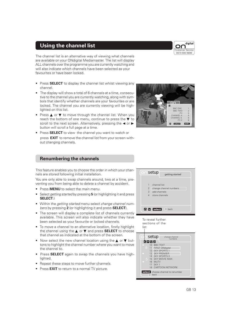### **Using the channel list**

The channel list is an alternative way of viewing what channels are available on your ONdigital Mediamaster. The list will display ALL channels over the programme you are currently watching and will also indicate which channels have been selected as your favourites or have been locked.

- Press **SELECT** to display the channel list whilst viewing any channel.
- The display will show a total of 6 channels at a time, consecutive to the channel you are currently watching, along with symbols that identify whether channels are your favourites or are locked. The channel you are currently viewing will be highlighted on this list.
- Press ▲ or ▼ to move through the channel list. When you reach the bottom of one menu, continue to press the  $\blacktriangledown$  to scroll to the next screen. Alternatively, pressing the  $\triangleleft$  or  $\blacktriangleright$ button will scroll a full page at a time.
- Press **SELECT** to view the channel you want to watch or press **EXIT** to remove the channel list from your screen without changing channels.



Customer Service 0870 600 9696

digital

### **Renumbering the channels**

This feature enables you to choose the order in which your channels are stored following initial installation.

You are only able to swap channels around, two at a time, preventing you from being able to delete a channel by accident.

- Press **MENU** to select the *main menu.*
- Select getting started by pressing **5** (or highlighting it and press **SELECT**.)
- Within the getting started menu select change channel numbers by pressing **2** (or highlighting it and press **SELECT**).
- The screen will display a complete list of channels currently available. This screen will also indicate whether they have been selected as your favourite or locked channels.
- To move a channel to an alternative location, firstly highlight the channel using the ▲ or ▼ and press **SELECT** to choose that channel as indicated at the bottom of the screen.
- Now select the new channel location using the **▲** or ▼ buttons to highlight the channel number where you want to move the channel to.
- Press **SELECT** again to swap the channels you have highlighted.
- Repeat these steps to move further channels.
- Press **EXIT** to return to a normal TV picture.



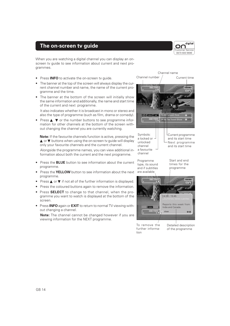### **The on-screen tv guide**



When you are watching a digital channel you can display an onscreen tv guide to see information about current and next programmes.

- Press **INFO** to activate the on-screen tv guide.
- The banner at the top of the screen will always display the current channel number and name, the name of the current programme and the time.
- The banner at the bottom of the screen will initially show the same information and additionally, the name and start time of the current and next programme.

It also indicates whether it is broadcast in mono or stereo and also the type of programme (such as film, drama or comedy).

Press ▲ ▼ or the number buttons to see programme information for other channels at the bottom of the screen without changing the channel you are currently watching.

**Note:** If the favourite channels function is active, pressing the ▲ or ▼ buttons when using the on-screen tv guide will display only your favourite channels and the current channel.

Alongside the programme names, you can view additional information about both the current and the next programme.

- Press the **BLUE** button to see information about the current programme.
- Press the **YELLOW** button to see information about the next programme.
- Press  $\triangle$  or  $\nabla$  if not all of the further information is displayed.
- Press the coloured buttons again to remove the information.
- Press **SELECT** to change to that channel, when the programme you want to watch is displayed at the bottom of the screen.
- Press **INFO** again or **EXIT** to return to normal TV viewing without changing a channel.

**Note:** The channel cannot be changed however if you are viewing information for the NEXT programme.



further information

of the programme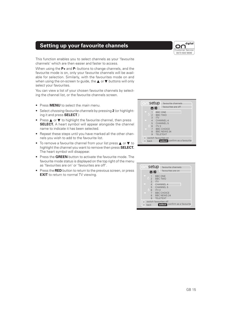## **Setting up your favourite channels**

This function enables you to select channels as your 'favourite channels' which are then easier and faster to access.

When using the **P+** and **P-** buttons to change channels, and the favourite mode is on, only your favourite channels will be available for selection. Similarly, with the favourites mode on and when using the on-screen tv guide, the **▲ or ▼** buttons will only select your favourites.

You can view a list of your chosen favourite channels by selecting the channel list, or the favourite channels screen.

- Press **MENU** to select the main menu.
- Select choosing favourite channels by pressing **2** (or highlighting it and press **SELECT**.)
- Press ▲ or ▼ to highlight the favourite channel, then press **SELECT.** A heart symbol will appear alongside the channel name to indicate it has been selected.
- Repeat these steps until you have marked all the other channels you wish to add to the favourite list.
- To remove a favourite channel from your list press **▲** or ▼ to highlight the channel you want to remove then press **SELECT.** The heart symbol will disappear.
- Press the **GREEN** button to activate the favourite mode. The favourite mode status is displayed on the top right of the menu as 'favourites are on' or 'favourites are off'.
- Press the **RED** button to return to the previous screen, or press **EXIT** to return to normal TV viewing.





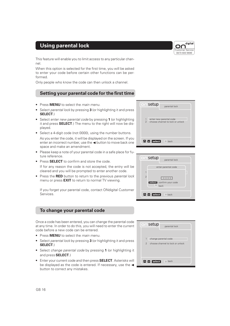## **Using parental lock**

This feature will enable you to limit access to any particular channel.

When this option is selected for the first time, you will be asked to enter your code before certain other functions can be performed.

Only people who know the code can then unlock a channel.

### **Setting your parental code for the first time**

- Press **MENU** to select the main menu.
- Select parental lock by pressing **3** (or highlighting it and press **SELECT**.)
- Select enter new parental code by pressing **1** (or highlighting it and press **SELECT**.) The menu to the right will now be displayed.
- Select a 4-digit code (not 0000), using the number buttons. As you enter the code, it will be displayed on the screen. If you enter an incorrect number, use the  $\blacktriangleleft$  button to move back one space and make an amendment.
- Please keep a note of your parental code in a safe place for future reference.
- Press **SELECT** to confirm and store the code.

If for any reason the code is not accepted, the entry will be cleared and you will be prompted to enter another code.

• Press the **RED** button to return to the previous *parental lock* menu or press **EXIT** to return to normal TV viewing.

If you forget your parental code, contact ONdigital Customer Services.

### **To change your parental code**

Once a code has been entered, you can change the parental code at any time. In order to do this, you will need to enter the current code before a new code can be entered.

- Press **MENU** to select the main menu.
- Select parental lock by pressing **3** (or highlighting it and press **SELECT**.)
- Select change parental code by pressing **1** (or highlighting it and press **SELECT**.)
- Enter your current code and then press **SELECT**. Asterisks will be displayed as the code is entered. If necessary, use the  $\blacktriangleleft$ button to correct any mistakes.







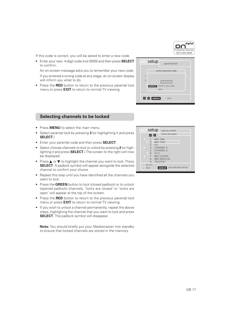digital nr Customer Service 0870 600 9696

If this code is correct, you will be asked to enter a new code.

• Enter your new 4-digit code (not 0000) and then press **SELECT** to confirm.

An on-screen message asks you to remember your new code. If you entered a wrong code at any stage, an on-screen display will inform you what to do.

• Press the **RED** button to return to the previous parental lock menu or press **EXIT** to return to normal TV viewing.

### **Selecting channels to be locked**

- Press **MENU** to select the main menu.
- Select parental lock by pressing **3** (or highlighting it and press **SELECT**.)
- Enter your parental code and then press **SELECT**.
- Select choose channels to lock or unlock by pressing **2** (or highlighting it and press **SELECT**.) The screen to the right will now be displayed.
- Press ▲ or ▼ to highlight the channel you want to lock. Press **SELECT**. A padlock symbol will appear alongside the selected channel to confirm your choice.
- Repeat this step until you have identified all the channels you want to lock.
- Press the **GREEN** button to lock (closed padlock) or to unlock (opened padlock) channels. 'locks are closed' or 'locks are open' will appear at the top of the screen.
- Press the **RED** button to return to the previous parental lock menu or press **EXIT** to return to normal TV viewing.
- If you wish to unlock a channel permanently, repeat the above steps, highlighing the channel that you want to lock and press **SELECT**. The padlock symbol will disappear.

**Note:** You should briefly put your Mediamaster into standby to ensure that locked channels are stored in the memory.



setup <sub>parental lock</sub>

enter parental code

1 enter new parental code 2 choose channel to lock or unlock or unlock or unlock or unlock or unlock or unlock or unlock or unlock or unlock or unlock  $\sim$ 

**back select** confirm your code

**select back**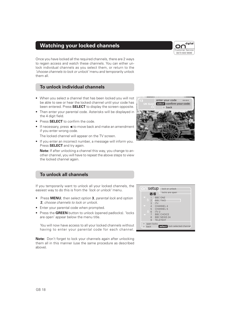# **Watching your locked channels**

Once you have locked all the required channels, there are 2 ways to regain access and watch these channels. You can either unlock individual channels as you select them, or return to the 'choose channels to lock or unlock' menu and temporarily unlock them all.

### **To unlock individual channels**

- When you select a channel that has been locked you will not be able to see or hear the locked channel until your code has been entered. Press **SELECT** to display the screen opposite.
- Then enter your parental code. Asterisks will be displayed in the 4 digit field.
- Press **SELECT** to confirm the code.
- $\bullet$  If necessary, press  $\blacktriangleleft$  to move back and make an amendment if you enter wrong code.

The locked channel will appear on the TV screen.

• If you enter an incorrect number, a message will inform you. Press **SELECT** and try again.

**Note:** If after unlocking a channel this way, you change to another channel, you will have to repeat the above steps to view the locked channel again.

# **back**

**UK Gold**

**select** confirm your code

enter your code

### **To unlock all channels**

If you temporarily want to unlock all your locked channels, the easiest way to do this is from the 'lock or unlock' menu.

- Press **MENU**, then select option **3**, parental lock and option **2**, choose channels to lock or unlock.
- Enter your parental code when prompted.
- Press the **GREEN** button to unlock (opened padlocks). 'locks are open' appear below the menu title.

You will now have access to all your locked channels without having to enter your parental code for each channel.

**Note:** Don't forget to lock your channels again after unlocking them all in this manner (use the same procedure as described above).



digital Customer Service 0870 600 9696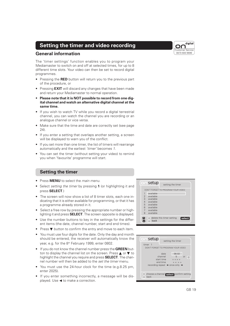### **Setting the timer and video recording**

### **General information**

The 'timer settings' function enables you to program your Mediamaster to switch on and off at selected times, for up to 8 different time slots. Your video can then be set to record digital programmes.

- Pressing the **RED** button will return you to the previous part of the procedure, or
- Pressing **EXIT** will discard any changes that have been made and return your Mediamaster to normal operation.
- **Please note that it is NOT possible to record from one digital channel and watch an alternative digital channel at the same time.**
- If you wish to watch TV while you record a digital terrestrial channel, you can watch the channel you are recording or an analogue channel or vice versa.
- Make sure that the time and date are correctly set (see page 24).
- If you enter a setting that overlaps another setting, a screen will be displayed to warn you of the conflict.
- If you set more than one timer, the list of timers will rearrange automatically and the earliest 'timer' becomes 1.
- You can set the timer (without setting your video) to remind you when 'favourite' programme will start.

### **Setting the timer**

- Press **MENU** to select the main menu.
- Select setting the timer by pressing **1** (or highlighting it and press **SELECT**.)
- The screen will now show a list of 8 timer slots, each one indicating that it is either available for programming, or that it has a programme already stored in it.
- Select a free row by pressing the appropriate number or highlighting it and press **SELECT**. The screen opposite is displayed.
- Use the number buttons to key in the settings for the different items (the date, channel number, start and end times).
- Press ▼ button to confirm the entry and move to each item.
- You must use four digits for the date. Only the day and month should be entered, the receiver will automatically know the year, e.g. for the 8<sup>th</sup> February 1999, enter 0802.
- If you do not know the channel number press the **GREEN** button to display the channel list on the screen. Press ▲ or ▼ to highlight the channel you require and press **SELECT**. The channel number will then be added to the set the timer menu.
- You must use the 24-hour clock for the time (e.g.8.25 pm, enter 2025).
- If you enter something incorrectly, a message will be dis $p$  played. Use  $\blacktriangleleft$  to make a correction.



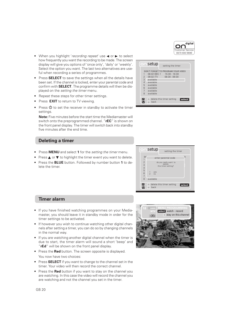

**select**

- When you highlight 'recording repeat' use  $\blacktriangleleft$  or  $\blacktriangleright$  to select how frequently you want the recording to be made. The screen display will give you options of 'once only', 'daily' or 'weekly'. Select the option you want. The last two alternatives are useful when recording a series of programmes.
- Press **SELECT** to save the settings when all the details have been set. If the channel is locked, enter your parental code and confirm with **SELECT**. The programme details will then be displayed on the setting the timer menu.
- Repeat these steps for other timer settings.
- Press **EXIT** to return to TV viewing.
- Press  $\Phi$  to set the receiver in standby to activate the timer settings.

**Note:** Five minutes before the start time the Mediamaster will switch onto the preprogrammed channel. "**rEC**" is shown on the front panel display. The timer will switch back into standby five minutes after the end time.

### **Deleting a timer**

- Press **MENU** and select **1** for the setting the timer menu.
- Press ▲ or ▼ to highlight the timer event you want to delete.
- Press the **BLUE** button. Followed by number button **1** to delete the timer.



Setup setting the timer

DON'T FORGET TO PROGRAM YOUR VIDEO<br>1 08.02 BBC 1 15:30 - 16:30

1 08.02 BBC 1 15:30 - 16:30 2 09.02 ITV 08:30 - 09:30

delete this timer setting

**back** 

ØD

3 available<br>4 available 4 available<br>5 available 5 available<br>6 available available 7 available 8 available

### **Timer alarm**

- If you have finished watching programmes on your Mediamaster, you should leave it in standby mode in order for the timer settings to be activated.
- If however you wish to continue watching other digital channels after setting a timer, you can do so by changing channels in the normal way.
- If you are watching another digital channel when the timer is due to start, the timer alarm will sound a short 'beep' and "**rEd**" will be shown on the front panel display.
- Press the **Red** button. The screen opposite is displayed. You now have two choices:
- Press **SELECT** if you want to change to the channel set in the timer. Your video will then record the correct channel.
- Press the **Red** button if you want to stay on the channel you are watching. In this case the video will record the channel you are watching and not the channel you set in the timer.

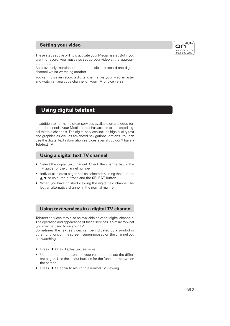### **Setting your video**



These steps above will now activate your Mediamaster. But if you want to record, you must also set up your video at the appropriate times.

As previously mentioned it is not possible to record one digital channel whilst watching another.

You can however record a digital channel via your Mediamaster and watch an analogue channel on your TV, or vice versa.

# **Using digital teletext**

In addition to normal teletext services available on analogue terrestrial channels, your Mediamaster has access to dedicated digital teletext channels. The digital services include high quality text and graphics as well as advanced navigational options. You can use the digital text information services even if you don't have a Teletext TV.

### **Using a digital text TV channel**

- Select the digital text channel. Check the channel list or the TV quide for the channel number.
- Individual teletext pages can be selected by using the number, ▲ ▼ or coloured buttons and the **SELECT** button.
- When you have finished viewing the digital text channel, select an alternative channel in the normal manner.

### **Using text services in a digital TV channel**

Teletext services may also be available on other digital channels. The operation and appearance of these services is similar to what you may be used to on your TV.

Sometimes the text services can be indicated by a symbol or other functions on the screen, superimposed on the channel you are watching.

- Press **TEXT** to display text services.
- Use the number buttons on your remote to select the different pages. Use the colour buttons for the functions shown on the screen.
- Press **TEXT** again to return to a normal TV viewing.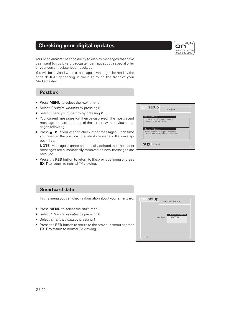# **Checking your digital updates**

Your Mediamaster has the ability to display messages that have been sent to you by a broadcaster, perhaps about a special offer or your current subscription package.

You will be advised when a message is waiting to be read by the code '**POSE**' appearing in the display on the front of your Mediamaster.

### **Postbox**

- Press **MENU** to select the main menu.
- Select ONdigital updates by pressing **6**.
- Select check your postbox by pressing **2**.
- Your current messages will then be displayed. The most recent message appears at the top of the screen, with previous messages following.
- Press ▲ ▼ if you wish to check other messages. Each time you re-enter the postbox, the latest message will always appear first.

**NOTE:** Messages cannot be manually deleted, but the oldest messages are automatically removed as new messages are received.

• Press the **RED** button to return to the previous menu or press **EXIT** to return to normal TV viewing.



### **Smartcard data**

In this menu you can check information about your smartcard.

- Press **MENU** to select the main menu.
- Select ONdigital updates by pressing **6**.
- Select smartcard data by pressing **1**.
- Press the **RED** button to return to the previous menu or press **EXIT** to return to normal TV viewing.



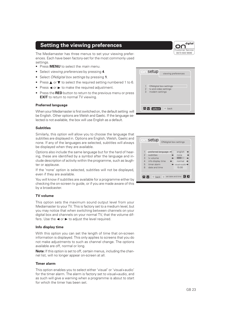### **Setting the viewing preferences**

The Mediamaster has three menus to set your viewing preferences. Each have been factory-set for the most commonly used settings.

- Press **MENU** to select the main menu.
- Select viewing preferences by pressing **4**.
- Select ONdigital box settings by pressing **1**.
- Press ▲ or ▼ to select the required setting numbered 1
- Press  $\blacktriangleleft$  or  $\blacktriangleright$  to make the required adjustment.
- Press the **RED** button to return to the previous menu or **EXIT** to return to normal TV viewing.

### **Preferred language**

When your Mediamaster is first switched on, the default setting be English. Other options are Welsh and Gaelic. If the language selected is not available, the box will use English as a default.

### **Subtitles**

Similarly, this option will allow you to choose the language that subtitles are displayed in. Options are English, Welsh, Gaelic and none. If any of the languages are selected, subtitles will always be displayed when they are available.

Options also include the same language but for the hard of hearing, these are identified by a symbol after the language and include description of activity within the programme, such as laughter or applause.

If the 'none' option is selected, subtitles will not be displayed, even if they are available.

You will know if subtitles are available for a programme either by checking the on-screen tv guide, or if you are made aware of this by a broadcaster.

### **TV volume**

This option sets the maximum sound output level from your Mediamaster to your TV. This is factory set to a medium level, but you may notice that when switching between channels on your digital box and channels on your normal TV, that the volume differs. Use the  $\blacktriangleleft$  or  $\blacktriangleright$  to adjust the level required.

### **Info display time**

With this option you can set the length of time that on-screen information is displayed. This only applies to screens that you do not make adjustments to such as channel change. The options available are off, normal or long.

**Note:** If this option is set to off, certain menus, including the channel list, will no longer appear on-screen at all.

### **Timer alarm**

This option enables you to select either 'visual' or 'visual+audio' for the timer alarm. The alarm is factory set to visual+audio, and as such will give a warning when a programme is about to start for which the timer has been set.

| l to 6. |                                                                                  |
|---------|----------------------------------------------------------------------------------|
| press   | ONdigital box settings<br>1<br>tv and video settings<br>2<br>3<br>modem settings |
| ìα      | $\Delta$ $\vee$ select<br>back                                                   |

setup viewing preferences



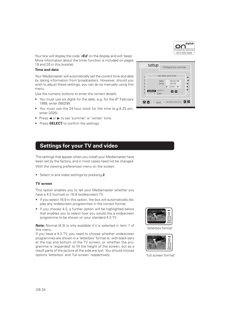

Your box will display the code 'r**Ed'** on the display and will 'beep'. More information about the timer function is included on pages 19 and 20 in this booklet.

### **Time and date**

Your Mediamaster will automatically set the current time and date by taking information from broadcasters. However, should you wish to adjust these settings, you can do so manually using this menu.

Use the numeric buttons to enter the correct details.

- You must use six digits for the date. e.g. for the 8<sup>th</sup> February 1999, enter 080299.
- You must use the 24-hour clock for the time (e.g.8.25 pm, enter 2025).
- Press < or  $\blacktriangleright$  to set 'summer' or 'winter' time.
- Press **SELECT** to confirm the settings.

|                | $\cap$ setup<br>ONdigital box settings |
|----------------|----------------------------------------|
| 1              | set date and time                      |
| $\overline{c}$ | $\frac{1}{2}$<br>date<br>08.02.99      |
| $\overline{3}$ | time<br>20:25                          |
| $\overline{4}$ | winter                                 |
| 5<br>6         | confirm<br>select<br>MM                |
|                | back                                   |
|                |                                        |
|                | KDI<br>set date and time<br>MM<br>back |
|                |                                        |

### **Settings for your TV and video**

The settings that appear when you install your Mediamaster have been set by the factory, and in most cases need not be changed. With the viewing preferences menu on the screen:

• Select tv and video settings by pressing **2**.

### **TV screen**

This option enables you to tell your Mediamaster whether you have a 4:3 (normal) or 16:9 (widescreen) TV.

- If you select 16:9 in this option, the box will automatically display any widescreen programmes in the correct format.
- If you choose 4:3, a further option will be highlighted below that enables you to select how you would like a widescreen programme to be shown on your standard 4:3 TV.

**Note:** Normal (4:3) is only available if it is selected in item 1 of this menu

If you have a 4:3 TV, you need to choose whether widescreen programmes are shown in a 'letterbox' format ie. with black bars at the top and bottom of the TV screen, or whether the programme is 'expanded' to fill the height of the screen, but as a result parts of the picture at the side are lost. You should choose options 'letterbox' and 'full screen' respectively.



'letterbox format'



'full screen format'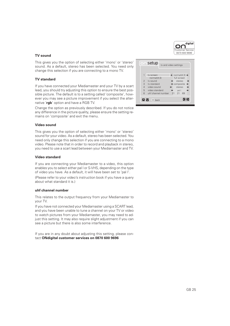### **TV sound**

This gives you the option of selecting either 'mono' or 'stereo' sound. As a default, stereo has been selected. You need only change this selection if you are connecting to a mono TV.

### **TV standard**

If you have connected your Mediamaster and your TV by a scart lead, you should try adjusting this option to ensure the best possible picture. The default is to a setting called 'composite', however you may see a picture improvement if you select the alternative '**rgb**' option and have a RGB TV.

Change the option as previously described. If you do not notice any difference in the picture quality, please ensure the setting remains on 'composite' and exit the menu.

### **Video sound**

This gives you the option of selecting either 'mono' or 'stereo' sound for your video. As a default, stereo has been selected. You need only change this selection if you are connecting to a mono video. Please note that in order to record and playback in stereo, you need to use a scart lead between your Mediamaster and TV.

### **Video standard**

If you are connecting your Mediamaster to a video, this option enables you to select either pal I or S-VHS, depending on the type of video you have. As a default, it will have been set to 'pal I'. (Please refer to your video's instruction book if you have a query about what standard it is.)

### **uhf channel number**

This relates to the output frequency from your Mediamaster to your TV.

If you have not connected your Mediamaster using a SCART lead, and you have been unable to tune a channel on your TV or video to watch pictures from your Mediamaster, you may need to adjust this setting. It may also require slight adjustment if you can see a picture but there is also some interference.

If you are in any doubt about adjusting this setting, please contact **ONdigital customer services on 0870 600 9696**



**KD** 

 $\frac{1}{2}$  tv sound  $\frac{1}{2}$  stereo 3 tv standard  $\leftrightarrow$  composite  $\rightarrow$ <br>4 video sound  $\leftrightarrow$  stereo → video sound < stereo → 5 video standard ● pal I 6 uhf channel number 21 21 69

**AV** Dback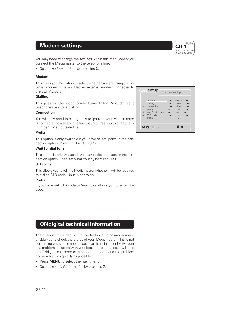### **Modem settings**



You may need to change the settings within this menu when you connect the Mediamaster to the telephone line.

• Select modem settings by pressing **3**.

### **Modem**

This gives you the option to select whether you are using the 'internal' modem or have added an 'external' modem connected to the SERIAL port.

### **Dialling**

This gives you the option to select tone dialling. Most domestic telephones use tone dialling.

### **Connection**

You will only need to change this to 'pabx' if your Mediamaster is connected to a telephone line that requires you to dial a prefix (number) for an outside line.

### **Prefix**

This option is only available if you have select 'pabx' in the connection option. Prefix can be: 0,1 - 9,\*#.

### **Wait for dial tone**

This option is only available if you have selected 'pabx' in the connection option. Then set what your system requires.

### **STD code**

This allows you to tell the Mediamaster whether it will be required to dial an STD code. Usually set to no.

### **Prefix**

If you have set STD code to 'yes', this allows you to enter the code.

# **ONdigital technical information**

The options contained within the technical information menu enable you to check the status of your Mediamaster. This is not something you should need to do, apart from in the unlikely event of a problem occurring with your box. In this instance, it will help the ONdigital customer care people to understand the problem and resolve it as quickly as possible.

- Press **MENU** to select the main menu.
- Select technical information by pressing **7**.

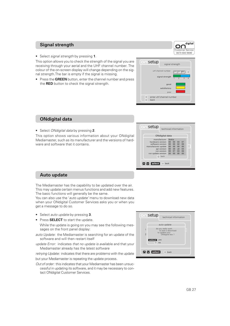### **Signal strength**

• Select signal strength by pressing **1**.

This option allows you to check the strength of the signal you are receiving through your aerial and the UHF channel number. The colour of the on-screen display will change depending on the signal strength.The bar is empty if the signal is missing.

• Press the **GREEN** button, enter the channel number and press the **RED** button to check the signal strength.



digital

nr

enter uhf channel number

back

□

### **ONdigital data**

• Select ONdigital data by pressing **2**.

This option shows various information about your ONdigital Mediamaster, such as its manufacturer and the versions of hardware and software that it contains.

| ONdigital data                                                                                                                                                                                                                                                                                                                                  |
|-------------------------------------------------------------------------------------------------------------------------------------------------------------------------------------------------------------------------------------------------------------------------------------------------------------------------------------------------|
| Nokia<br>manufacturer<br>07<br>hardware version<br>0 <sub>0</sub><br>0 <sub>0</sub><br>0 <sub>3</sub><br>software version 00 00 02 09<br>00 00 00 00<br>manufacturer update<br>00 28 a0 04<br>api version<br>00 07 03 06<br>run version<br>00 <sub>0</sub><br>0 <sub>0</sub><br>00 <sup>1</sup><br>0 <sub>0</sub><br>run update version<br>back |

### **Auto update**

The Mediamaster has the capability to be updated over the air. This may update certain menus functions and add new features. The basic functions will generally be the same.

You can also use the 'auto update' menu to download new data when your ONdigital Customer Services asks you or when you get a message to do so.

- Select auto update by pressing **3**.
- Press **SELECT** to start the update.

While the update is going on you may see the following messages on the front panel display:

- auto Update: the Mediamaster is searching for an update of the software and will then restart itself
- update Error: indicates that no update is available and that your Mediamaster already has the latest software

retrying Update: indicates that there are problems with the update but your Mediamaster is repeating the update process.

Out of order: this indicates that your Mediamaster has been unsuccessful in updating its software, and it may be necessary to contact ONdigital Customer Services.

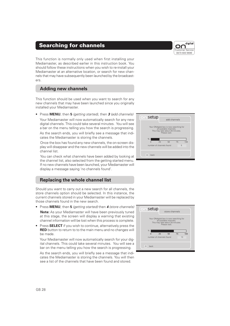### **Searching for channels**

This function is normally only used when first installing your Mediamaster, as described earlier in this instruction book. You should follow these instructions when you wish to re-install your Mediamaster at an alternative location, or search for new channels that may have subsequently been launched by the broadcasters.

### **Adding new channels**

This function should be used when you want to search for any new channels that may have been launched since you originally installed your Mediamaster.

• Press **MENU**, then **5** (getting started), then **3** (add channels) Your Mediamaster will now automatically search for any new digital channels. This could take several minutes. You will see a bar on the menu telling you how the search is progressing.

As the search ends, you will briefly see a message that indicates the Mediamaster is storing the channels.

Once the box has found any new channels, the on-screen display will disappear and the new channels will be added into the channel list.

You can check what channels have been added by looking at the channel list, also selected from the getting started menu. If no new channels have been launched, your Mediamaster will display a message saying 'no channels found'.

### **Replacing the whole channel list**

Should you want to carry out a new search for all channels, the store channels option should be selected. In this instance, the current channels stored in your Mediamaster will be replaced by those channels found in the new search.

- Press **MENU**, then **5** (getting started) then **<sup>4</sup>** (store channels) **Note:** As your Mediamaster will have been previously tuned at this stage, the screen will display a warning that existing channel information will be lost when this process is complete.
- Press **SELECT** if you wish to continue, alternatively press the **RED** button to return to to the main menu and no changes will be made.

Your Mediamaster will now automatically search for your digital channels. This could take several minutes. You will see a bar on the menu telling you how the search is progressing.

As the search ends, you will briefly see a message that indicates the Mediamaster is storing the channels. You will then see a list of the channels that have been found and stored.





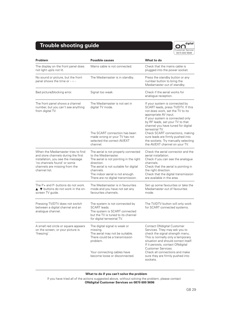# **Trouble shooting guide**



| Problem                                                                                                                                                                                         | <b>Possible causes</b>                                                                                                                                                                                                                                | What to do                                                                                                                                                                                                                                                         |
|-------------------------------------------------------------------------------------------------------------------------------------------------------------------------------------------------|-------------------------------------------------------------------------------------------------------------------------------------------------------------------------------------------------------------------------------------------------------|--------------------------------------------------------------------------------------------------------------------------------------------------------------------------------------------------------------------------------------------------------------------|
| The display on the front panel does<br>not light up/is not lit.                                                                                                                                 | Mains cable is not connected.                                                                                                                                                                                                                         | Check that the mains cable is<br>plugged into the power socket.                                                                                                                                                                                                    |
| No sound or picture, but the front<br>panel shows the time or ----                                                                                                                              | The Mediamaster is in standby.                                                                                                                                                                                                                        | Press the standby button or any<br>number button to bring the<br>Mediamaster out of standby.                                                                                                                                                                       |
| Bad picture/blocking error.                                                                                                                                                                     | Signal too weak.                                                                                                                                                                                                                                      | Check if the aerial works for<br>analoque reception.                                                                                                                                                                                                               |
| The front panel shows a channel<br>number, but you can't see anything<br>from digital TV.                                                                                                       | The Mediamaster is not set in<br>digital TV mode.                                                                                                                                                                                                     | If your system is connected by<br>SCART leads, press TV/DTV. If this<br>not does work, set the TV to its<br>appropriate AV input.<br>If your system is connected only<br>by RF leads, set your TV to that<br>channel you have tuned for digital<br>terrestrial TV. |
|                                                                                                                                                                                                 | The SCART connection has been<br>made wrong or your TV has not<br>selected the correct AV/EXT<br>channel.                                                                                                                                             | Check SCART connections, making<br>sure leads are firmly pushed into<br>the sockets. Try manually selecting<br>the AV/EXT channel on your TV.                                                                                                                      |
| When the Mediamaster tries to find<br>and store channels during the first<br>installation, you see the message<br>'no channels found' or some<br>channels are missing from the<br>channel list. | The aerial is not properly connected<br>to the Mediamaster.<br>The aerial is not pointing in the right<br>direction.<br>The aerial is not suitable for digital<br>channels.<br>The indoor aerial is not enough.<br>There are no digital transmission. | Check the aerial connector and the<br>aerial installation.<br>Check if you can see the analogue<br>channels.<br>Check that the aerial is pointing in<br>the right direction.<br>Check that the digital transmission<br>are available in the area.                  |
| The $P+$ and $P-$ buttons do not work.<br>▲ ▼ buttons do not work in the on-<br>screen TV guide.                                                                                                | The Mediamaster is in favourites<br>mode and you have not set any<br>favourites channels.                                                                                                                                                             | Set up some favourites or take the<br>Mediamaster out of favourites<br>mode.                                                                                                                                                                                       |
| Pressing TV/DTV does not switch<br>between a digital channel and an<br>analogue channel.                                                                                                        | The system is not connected by<br>SCART leads.<br>The system is SCART connected<br>but the TV is tuned to its channel<br>for digital terrestrial TV.                                                                                                  | The TV/DTV button will only work<br>for SCART connected systems.                                                                                                                                                                                                   |
| A small red circle or square appears<br>on the screen, or your picture is<br>'freezing'.                                                                                                        | The digital signal is weak or<br>missina.<br>The aerial may not be suitable.<br>There could be a transmission<br>problem.                                                                                                                             | Contact ONdigital Customer<br>Services. They may ask you to<br>check the signal strength menu.<br>This is normally only a temporary<br>situation and should correct itself.<br>If it persists, contact ONdigital<br>Customer Services.                             |
|                                                                                                                                                                                                 | Your connecting cables have<br>become loose or disconnected.                                                                                                                                                                                          | Check all connections and make<br>sure they are firmly pushed into<br>sockets.                                                                                                                                                                                     |

### **What to do if you can't solve the problem**

If you have tried all of the actions suggested above, without solving the problem, please contact **ONdigital Customer Services on 0870 600 9696**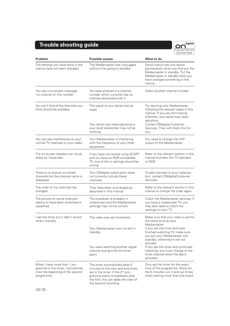# **Trouble shooting guide**



| Problem                                                                                                            | <b>Possible causes</b>                                                                                                                                                                                                      | What to do                                                                                                                                                                                                                                                                                                                                                |
|--------------------------------------------------------------------------------------------------------------------|-----------------------------------------------------------------------------------------------------------------------------------------------------------------------------------------------------------------------------|-----------------------------------------------------------------------------------------------------------------------------------------------------------------------------------------------------------------------------------------------------------------------------------------------------------------------------------------------------------|
| The settings you have done in the<br>menus have not been changed.                                                  | The Mediamaster was unplugged<br>without first going to standby.                                                                                                                                                            | Some menus are only saved<br>permanently when you first put the<br>Mediamaster in standby. Put the<br>Mediamaster in standby after you<br>have changed something in the<br>menus.                                                                                                                                                                         |
| You see a on-screen message<br>'no channel on this number'.                                                        | You have entered in a channel<br>number which currently has no<br>channel associated with it.                                                                                                                               | Select another channel number.                                                                                                                                                                                                                                                                                                                            |
| You can't find all the channels you<br>think should be available.                                                  | The signal to your aerial may be<br>weak.<br>Your aerial may need adjusting or<br>your local transmitter may not be<br>working.                                                                                             | Try retuning your Mediamaster,<br>following the relevant steps in this<br>manual. If you are still missing<br>channels, your aerial may need<br>adjusting.<br>Contact ONdigital Customer<br>Services. They will check this for<br>you.                                                                                                                    |
| You can see interference on your<br>normal TV channels or your video.                                              | Your Mediamaster is interfering<br>with the frequency of your other<br>equipment.                                                                                                                                           | You need to change the UHF<br>output of the Mediamaster.                                                                                                                                                                                                                                                                                                  |
| The on-screen displays are not as<br>sharp as I expected.                                                          | If you have connected using SCART<br>and you have an RGB compatible<br>TV, one of the tv settings should be<br>wrong.                                                                                                       | Refer to the relevant section in this<br>manual and alter the TV standard<br>to RGB.                                                                                                                                                                                                                                                                      |
| There is no picture on certain<br>channels but the channel name is<br>displayed.                                   | Your ONdigital subscription does<br>not currently include these<br>channels.                                                                                                                                                | To add channels to your subscrip-<br>tion, contact ONdigitalCustomer<br>Services.                                                                                                                                                                                                                                                                         |
| The order of my channels has<br>changed.                                                                           | They have been re-arranged as<br>described in this manual.                                                                                                                                                                  | Refer to the relevant section in this<br>manual to change the order again.                                                                                                                                                                                                                                                                                |
| The picture on some channels<br>seems to have been stretched or<br>squashed.                                       | The broadcast is probably in<br>widescreen and the Mediamaster<br>settings may not be correct.                                                                                                                              | Check the Mediamaster settings. If<br>you have a widescreen TV, you<br>may also need to check the<br>settings on your TV.                                                                                                                                                                                                                                 |
| I set the timer but it didn't record<br>what I wanted.                                                             | The video was set incorrectly.<br>Your Mediamaster was not left in<br>standby.<br>You were watching another digital<br>channel and ignored the timer<br>alarm.                                                              | Make sure that your video is set for<br>the same time as your<br>Mediamaster.<br>If you set the timer and have<br>finished watching TV, make sure<br>you put your Mediamaster into<br>standby, otherwise it will not<br>activate.<br>If you set the timer and continued<br>watching, you must change to the<br>timer channel when the alarm<br>activates. |
| When I have more than 1 pro-<br>gramme in the timer, I sometimes<br>miss the beginning of the second<br>programme. | The timer automatically adds 5<br>minutes to the start and end times<br>set in the timer. If the 2 <sup>nd</sup> pro-<br>gramme starts immediately after<br>the first, this can delay the start of<br>the second recording. | Only set the timer for the exact<br>time of the programme. Allow for<br>the 5 minutes run in and out times<br>when setting more than one event.                                                                                                                                                                                                           |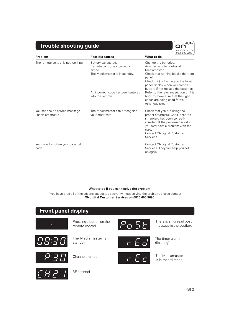# **Trouble shooting guide**



| Problem                                              | <b>Possible causes</b>                                                                          | <b>08/0 pnd apap</b><br>What to do                                                                                                                                                                                                   |
|------------------------------------------------------|-------------------------------------------------------------------------------------------------|--------------------------------------------------------------------------------------------------------------------------------------------------------------------------------------------------------------------------------------|
| The remote control is not working.                   | Battery exhausted.<br>Remote control is incorrectly<br>aimed.<br>The Mediamaster is in standby. | Change the batteries.<br>Aim the remote control at<br>Mediamaster.<br>Check that nothing blocks the front<br>panel.<br>Check if (:) is flashing on the front<br>panel display when you press a                                       |
|                                                      | An incorrect code has been entered<br>into the remote.                                          | button. If not replace the batteries.<br>Refer to the relevant section of this<br>book to make sure that the right<br>codes are being used for your<br>other equipment.                                                              |
| You see the on-screen message<br>'insert smartcard'. | The Mediamaster can't recognise<br>your smartcard.                                              | Check that you are using the<br>proper smartcard. Check that the<br>smartcard has been correctly<br>inserted. If the problem persists,<br>you may have a problem with the<br>card.<br><b>Contact ONdigital Customer</b><br>Services. |
| You have forgotten your parental<br>code.            |                                                                                                 | <b>Contact ONdigital Customer</b><br>Services. They will help you set it<br>up again.                                                                                                                                                |

### **What to do if you can't solve the problem**

If you have tried all of the actions suggested above, without solving the problem, please contact **ONdigital Customer Services on 0870 600 9696**

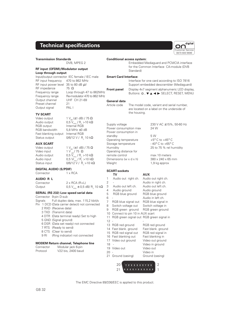### **Technical specifications**



DVB, MPEG 2

Internal RGB

 $0/6/12$  V / R<sub>i</sub> 10 kΩ

### **RF input (OFDM)/Modulator output Loop through output**

Input/output connector IEC female / IEC male RF input frequency 470 to 862 MHz RF input power level 35 to 80 dB  $\mu$ V<br>RF impedance 75  $\Omega$ RF impedance Frequency range Loop through 47 to 862MHz Frequency range Re-modulator 470 to 862 MHz<br>Output channel UHF CH 21-69 Output channel Preset channel 21 Output signal PAL I

### **TV SCART**

Video output  $1 V_{\text{pp}} (\pm 1 \text{ dB}) / 75 \Omega$ <br>Audio output  $0.5 V_{\text{rms}} / R_1 > 10 k \Omega$ Audio output  $0,5\tilde{V}_{\rm ms}/R_{\rm L} > 10 \text{ k}\Omega$ <br>RGB output Internal RGB RGB bandwidth 5,8 MHz ±3 dB Fast blanking output Internal RGB Status output

### **AUX SCART**

Video output  $1 V_{pp} (\pm 1 \text{ dB}) / 75 \Omega$ <br>Video input  $1 V_{p} / 75 \Omega$ Video input 1 V  $_{\rm pp}$ / 75  $\,\Omega$ Audio output  $0,5$   $\rm V_{rms}$  / R<sub>L</sub> >10 k $\Omega$ Audio input  $0.5 \text{ Vr}_{\text{ms}} / \text{R}_{\text{L}} > 10 \text{ k}\Omega$ Status input  $0/6/12 \vee / \overline{R}_1 > 10 \text{ k}\Omega$ 

### **DIGITAL AUDIO (S/PDIF)**

Connector 1 x RCA

### **AUDIO R L**

| Connector | $2 \times RCA$ (R+L)                                           |
|-----------|----------------------------------------------------------------|
| Output    | 0,5 V <sub>ms</sub> $\pm$ 0,5 dB/ R <sub>i</sub> 10 k $\Omega$ |

### **SERIAL (RS 232) Low speed serial data**

Connector 9-pin D-sub Signals Full duplex data, max. 115,2 kbit/s

- Pin 1 DCD (Data carrier detect) not connected
	- 2 RXD (Receive data) 3 TXD (Transmit data)
	- 4 DTR (Data terminal ready) Set to high
	- 5 GND (Signal ground)
	- 6 DSR (Data set ready) not connected
	- 7 RTS (Ready to send)
	- 8 CTS (Clear to send)
	- 9 RI (Ring indicator) not connected

### **MODEM Return channel, Telephone line**

| Connector | Modular jack 6-pin |
|-----------|--------------------|
| Protocol  | V22 bis, 2400 baud |

# **Conditional access system:**

Embedded Mediaguard and PCMCIA interface for the Common Interface CA-module (DVB Standard)

### **Smart Card Interface:**

Interface for one card according to ISO 7816 Support embedded descrambler (Mediaguard) **Front panel** Display 4x7 segment alphanumeric LED display, Buttons: **♦ , ▼ ▲ ◀ ▶** SELECT, RESET, MENU

### **General data**

Power consumption in

Operating distance for

Dimensions (w  $\times$  d  $\times$  h)

**SCART-sockets**

Article code The model code, variant and serial number, are located on a label on the underside of the housing.

Supply voltage 230 V AC ±15%, 50-60 Hz Power consumption max 24 W

standby 5 W Operating temperature  $+5^{\circ}$  C to  $+45^{\circ}$  C Storage temperature - 40° C to +65° C Humidity 25 to 75 % rel humidity

remote control max 10 meters<br>Dimensions (w x d x h)  $380 \times 240 \times 65$  mm Weight 1,9 kg approx

**TV AUX** 1 Audio out right ch. Audio out right ch. 2 - Audio in right ch. 3 Audio out left ch. Audio out left ch. 4 Audio ground Audio ground 5 RGB blue ground RGB blue ground 6 - Audio in left ch. 7 RGB blue signal out RGB blue signal in<br>8 Switch voltage out Switch voltage in Switch voltage out Switch voltage in 9 RGB green ground RGB green ground 10 Connect to pin 10 in AUX scart 11 RGB green signal out RGB green signal in  $12 -$ 13 RGB red ground RGB red ground 14 Fast blank. ground Fast blank. ground<br>15 RGB red signal out RGB red signal in 15 RGB red signal out 16 Fast blanking out Fast blanking in 17 Video out ground Video out ground 18 - Video in ground 19 Video out Video out<br>20 - Video in Video in 21 Ground (casing) Ground (casing)

> $21$  ++++++++++++  $20$  \ + + + + + + + + + + | 2

The EMC Directive 89/336/EEC is applied to this product.

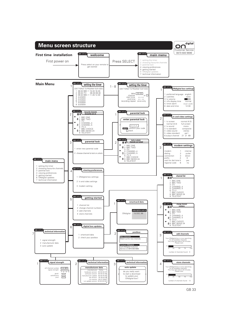

GB 33